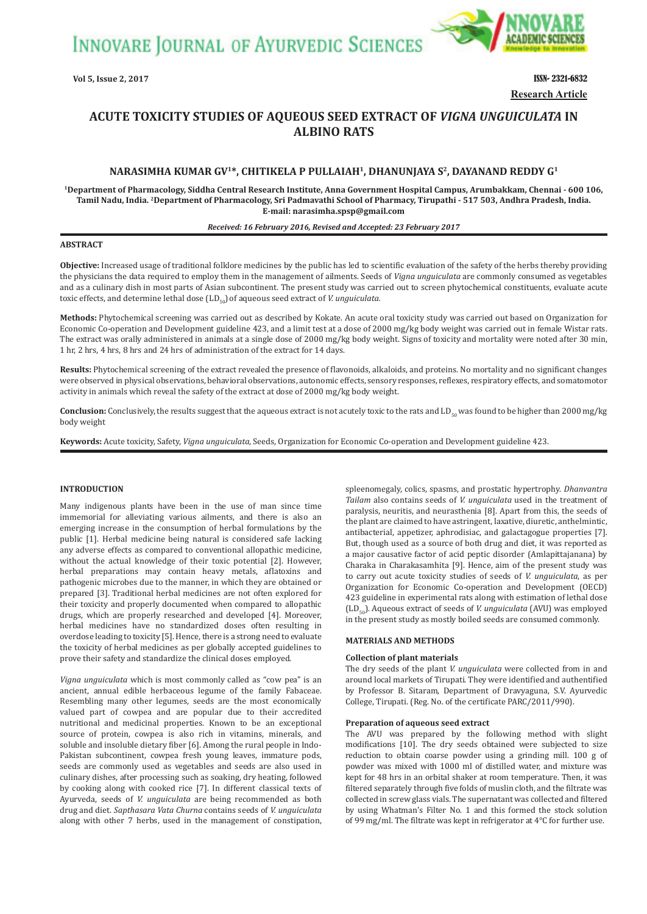**INNOVARE JOURNAL OF AYURVEDIC SCIENCES** 



**Research Article**

# **ACUTE TOXICITY STUDIES OF AQUEOUS SEED EXTRACT OF** *VIGNA UNGUICULATA* **IN ALBINO RATS**

# **NARASIMHA KUMAR GV1\*, CHITIKELA P PULLAIAH1, DHANUNJAYA S2, DAYANAND REDDY G1**

**1Department of Pharmacology, Siddha Central Research Institute, Anna Government Hospital Campus, Arumbakkam, Chennai - 600 106, Tamil Nadu, India. 2Department of Pharmacology, Sri Padmavathi School of Pharmacy, Tirupathi - 517 503, Andhra Pradesh, India. E-mail: narasimha.spsp@gmail.com**

#### *Received: 16 February 2016, Revised and Accepted: 23 February 2017*

# **ABSTRACT**

**Objective:** Increased usage of traditional folklore medicines by the public has led to scientific evaluation of the safety of the herbs thereby providing the physicians the data required to employ them in the management of ailments. Seeds of *Vigna unguiculata* are commonly consumed as vegetables and as a culinary dish in most parts of Asian subcontinent. The present study was carried out to screen phytochemical constituents, evaluate acute toxic effects, and determine lethal dose (LD<sub>50</sub>) of aqueous seed extract of *V. unguiculata*.

**Methods:** Phytochemical screening was carried out as described by Kokate. An acute oral toxicity study was carried out based on Organization for Economic Co-operation and Development guideline 423, and a limit test at a dose of 2000 mg/kg body weight was carried out in female Wistar rats. The extract was orally administered in animals at a single dose of 2000 mg/kg body weight. Signs of toxicity and mortality were noted after 30 min, 1 hr, 2 hrs, 4 hrs, 8 hrs and 24 hrs of administration of the extract for 14 days.

**Results:** Phytochemical screening of the extract revealed the presence of flavonoids, alkaloids, and proteins. No mortality and no significant changes were observed in physical observations, behavioral observations, autonomic effects, sensory responses, reflexes, respiratory effects, and somatomotor activity in animals which reveal the safety of the extract at dose of 2000 mg/kg body weight.

**Conclusion:** Conclusively, the results suggest that the aqueous extract is not acutely toxic to the rats and LD<sub>50</sub> was found to be higher than 2000 mg/kg body weight

**Keywords:** Acute toxicity, Safety, *Vigna unguiculata*, Seeds, Organization for Economic Co-operation and Development guideline 423.

# **INTRODUCTION**

Many indigenous plants have been in the use of man since time immemorial for alleviating various ailments, and there is also an emerging increase in the consumption of herbal formulations by the public [1]. Herbal medicine being natural is considered safe lacking any adverse effects as compared to conventional allopathic medicine, without the actual knowledge of their toxic potential [2]. However, herbal preparations may contain heavy metals, aflatoxins and pathogenic microbes due to the manner, in which they are obtained or prepared [3]. Traditional herbal medicines are not often explored for their toxicity and properly documented when compared to allopathic drugs, which are properly researched and developed [4]. Moreover, herbal medicines have no standardized doses often resulting in overdose leading to toxicity [5]. Hence, there is a strong need to evaluate the toxicity of herbal medicines as per globally accepted guidelines to prove their safety and standardize the clinical doses employed.

*Vigna unguiculata* which is most commonly called as "cow pea" is an ancient, annual edible herbaceous legume of the family Fabaceae. Resembling many other legumes, seeds are the most economically valued part of cowpea and are popular due to their accredited nutritional and medicinal properties. Known to be an exceptional source of protein, cowpea is also rich in vitamins, minerals, and soluble and insoluble dietary fiber [6]. Among the rural people in Indo-Pakistan subcontinent, cowpea fresh young leaves, immature pods, seeds are commonly used as vegetables and seeds are also used in culinary dishes, after processing such as soaking, dry heating, followed by cooking along with cooked rice [7]. In different classical texts of Ayurveda, seeds of *V. unguiculata* are being recommended as both drug and diet. *Sapthasara Vata Churna* contains seeds of *V. unguiculata* along with other 7 herbs, used in the management of constipation, spleenomegaly, colics, spasms, and prostatic hypertrophy. *Dhanvantra Tailam* also contains seeds of *V. unguiculata* used in the treatment of paralysis, neuritis, and neurasthenia [8]. Apart from this, the seeds of the plant are claimed to have astringent, laxative, diuretic, anthelmintic, antibacterial, appetizer, aphrodisiac, and galactagogue properties [7]. But, though used as a source of both drug and diet, it was reported as a major causative factor of acid peptic disorder (Amlapittajanana) by Charaka in Charakasamhita [9]. Hence, aim of the present study was to carry out acute toxicity studies of seeds of *V. unguiculata*, as per Organization for Economic Co-operation and Development (OECD) 423 guideline in experimental rats along with estimation of lethal dose (LD<sub>50</sub>). Aqueous extract of seeds of *V. unguiculata* (AVU) was employed in the present study as mostly boiled seeds are consumed commonly.

# **MATERIALS AND METHODS**

#### **Collection of plant materials**

The dry seeds of the plant *V. unguiculata* were collected from in and around local markets of Tirupati. They were identified and authentified by Professor B. Sitaram, Department of Dravyaguna, S.V. Ayurvedic College, Tirupati. (Reg. No. of the certificate PARC/2011/990).

#### **Preparation of aqueous seed extract**

The AVU was prepared by the following method with slight modifications [10]. The dry seeds obtained were subjected to size reduction to obtain coarse powder using a grinding mill. 100 g of powder was mixed with 1000 ml of distilled water, and mixture was kept for 48 hrs in an orbital shaker at room temperature. Then, it was filtered separately through five folds of muslin cloth, and the filtrate was collected in screw glass vials. The supernatant was collected and filtered by using Whatman's Filter No. 1 and this formed the stock solution of 99 mg/ml. The filtrate was kept in refrigerator at 4°C for further use.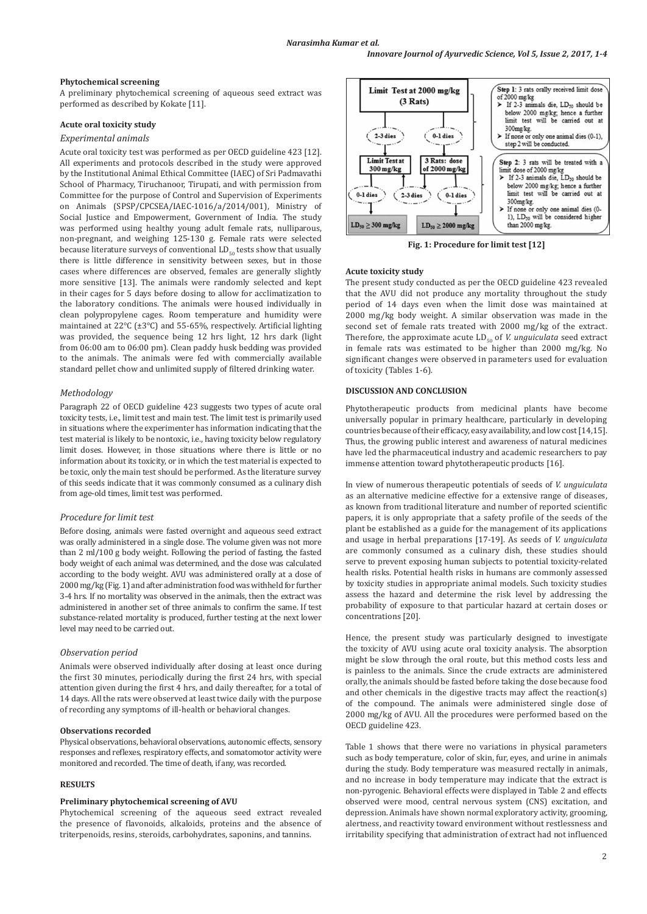# *Narasimha Kumar et al.*

#### **Phytochemical screening**

A preliminary phytochemical screening of aqueous seed extract was performed as described by Kokate [11].

### **Acute oral toxicity study**

# *Experimental animals*

Acute oral toxicity test was performed as per OECD guideline 423 [12]. All experiments and protocols described in the study were approved by the Institutional Animal Ethical Committee (IAEC) of Sri Padmavathi School of Pharmacy, Tiruchanoor, Tirupati, and with permission from Committee for the purpose of Control and Supervision of Experiments on Animals (SPSP/CPCSEA/IAEC-1016/a/2014/001), Ministry of Social Justice and Empowerment, Government of India. The study was performed using healthy young adult female rats, nulliparous, non-pregnant, and weighing 125-130 g. Female rats were selected because literature surveys of conventional  $LD_{50}$  tests show that usually there is little difference in sensitivity between sexes, but in those cases where differences are observed, females are generally slightly more sensitive [13]. The animals were randomly selected and kept in their cages for 5 days before dosing to allow for acclimatization to the laboratory conditions. The animals were housed individually in clean polypropylene cages. Room temperature and humidity were maintained at 22°C (±3°C) and 55-65%, respectively. Artificial lighting was provided, the sequence being 12 hrs light, 12 hrs dark (light from 06:00 am to 06:00 pm). Clean paddy husk bedding was provided to the animals. The animals were fed with commercially available standard pellet chow and unlimited supply of filtered drinking water.

#### *Methodology*

Paragraph 22 of OECD guideline 423 suggests two types of acute oral toxicity tests, i.e., limit test and main test. The limit test is primarily used in situations where the experimenter has information indicating that the test material is likely to be nontoxic, i.e., having toxicity below regulatory limit doses. However, in those situations where there is little or no information about its toxicity, or in which the test material is expected to be toxic, only the main test should be performed. As the literature survey of this seeds indicate that it was commonly consumed as a culinary dish from age-old times, limit test was performed.

### *Procedure for limit test*

Before dosing, animals were fasted overnight and aqueous seed extract was orally administered in a single dose. The volume given was not more than 2 ml/100 g body weight. Following the period of fasting, the fasted body weight of each animal was determined, and the dose was calculated according to the body weight. AVU was administered orally at a dose of 2000 mg/kg (Fig. 1) and after administration food was withheld for further 3-4 hrs. If no mortality was observed in the animals, then the extract was administered in another set of three animals to confirm the same. If test substance-related mortality is produced, further testing at the next lower level may need to be carried out.

#### *Observation period*

Animals were observed individually after dosing at least once during the first 30 minutes, periodically during the first 24 hrs, with special attention given during the first 4 hrs, and daily thereafter, for a total of 14 days. All the rats were observed at least twice daily with the purpose of recording any symptoms of ill-health or behavioral changes.

### **Observations recorded**

Physical observations, behavioral observations, autonomic effects, sensory responses and reflexes, respiratory effects, and somatomotor activity were monitored and recorded. The time of death, if any, was recorded.

## **RESULTS**

### **Preliminary phytochemical screening of AVU**

Phytochemical screening of the aqueous seed extract revealed the presence of flavonoids, alkaloids, proteins and the absence of triterpenoids, resins, steroids, carbohydrates, saponins, and tannins.



**Fig. 1: Procedure for limit test [12]**

#### **Acute toxicity study**

The present study conducted as per the OECD guideline 423 revealed that the AVU did not produce any mortality throughout the study period of 14 days even when the limit dose was maintained at 2000 mg/kg body weight. A similar observation was made in the second set of female rats treated with 2000 mg/kg of the extract. Therefore, the approximate acute  $LD_{50}$  of *V. unguiculata* seed extract in female rats was estimated to be higher than 2000 mg/kg. No significant changes were observed in parameters used for evaluation of toxicity (Tables 1-6).

#### **DISCUSSION AND CONCLUSION**

Phytotherapeutic products from medicinal plants have become universally popular in primary healthcare, particularly in developing countries because of their efficacy, easy availability, and low cost [14,15]. Thus, the growing public interest and awareness of natural medicines have led the pharmaceutical industry and academic researchers to pay immense attention toward phytotherapeutic products [16].

In view of numerous therapeutic potentials of seeds of *V. unguiculata* as an alternative medicine effective for a extensive range of diseases, as known from traditional literature and number of reported scientific papers, it is only appropriate that a safety profile of the seeds of the plant be established as a guide for the management of its applications and usage in herbal preparations [17-19]. As seeds of *V. unguiculata* are commonly consumed as a culinary dish, these studies should serve to prevent exposing human subjects to potential toxicity-related health risks. Potential health risks in humans are commonly assessed by toxicity studies in appropriate animal models. Such toxicity studies assess the hazard and determine the risk level by addressing the probability of exposure to that particular hazard at certain doses or concentrations [20].

Hence, the present study was particularly designed to investigate the toxicity of AVU using acute oral toxicity analysis. The absorption might be slow through the oral route, but this method costs less and is painless to the animals. Since the crude extracts are administered orally, the animals should be fasted before taking the dose because food and other chemicals in the digestive tracts may affect the reaction(s) of the compound. The animals were administered single dose of 2000 mg/kg of AVU*.* All the procedures were performed based on the OECD guideline 423.

Table 1 shows that there were no variations in physical parameters such as body temperature, color of skin, fur, eyes, and urine in animals during the study. Body temperature was measured rectally in animals, and no increase in body temperature may indicate that the extract is non-pyrogenic. Behavioral effects were displayed in Table 2 and effects observed were mood, central nervous system (CNS) excitation, and depression. Animals have shown normal exploratory activity, grooming, alertness, and reactivity toward environment without restlessness and irritability specifying that administration of extract had not influenced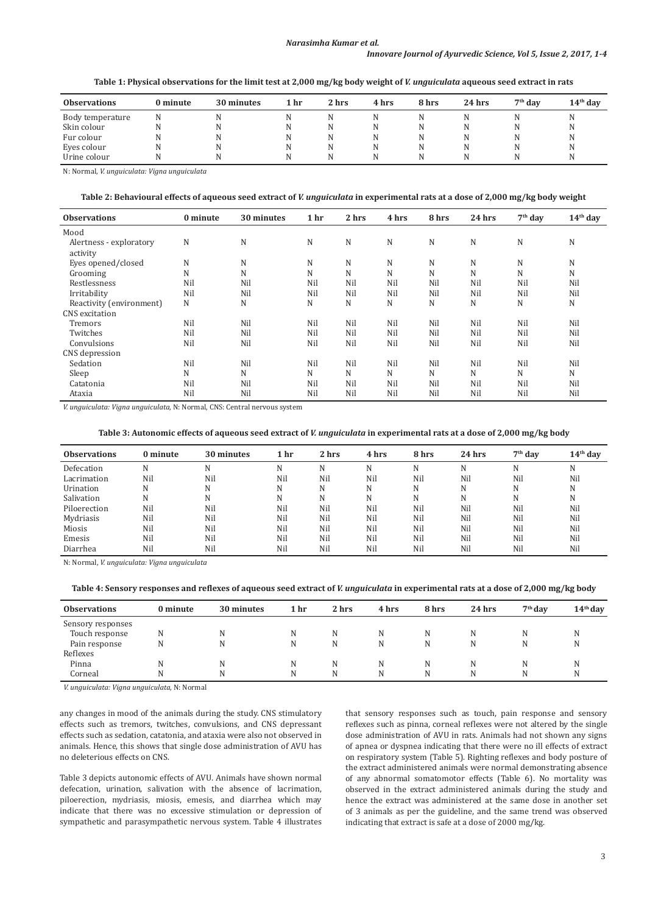# *Narasimha Kumar et al.*

### *Innovare Journol of Ayurvedic Science, Vol 5, Issue 2, 2017, 1-4*

**Table 1: Physical observations for the limit test at 2,000 mg/kg body weight of** *V. unguiculata* **aqueous seed extract in rats**

| <b>Observations</b> | 0 minute | 30 minutes | 1 hr | 2 hrs | 4 hrs | 8 hrs | $24$ hrs | $7th$ day | $14th$ day |
|---------------------|----------|------------|------|-------|-------|-------|----------|-----------|------------|
| Body temperature    |          |            |      |       |       |       |          |           |            |
| Skin colour         |          |            |      |       |       | N     |          |           |            |
| Fur colour          |          |            |      |       |       | N     |          |           |            |
| Eyes colour         |          | ΙN         |      |       | N     | N     |          |           | IN.        |
| Urine colour        |          |            |      |       | N     | N     |          |           |            |

N: Normal, *V. unguiculata: Vigna unguiculata*

#### **Table 2: Behavioural effects of aqueous seed extract of** *V. unguiculata* **in experimental rats at a dose of 2,000 mg/kg body weight**

| <b>Observations</b>      | 0 minute | 30 minutes | 1 <sub>hr</sub> | 2 hrs | 4 hrs | 8 hrs | 24 hrs | $7th$ day | $14th$ day |
|--------------------------|----------|------------|-----------------|-------|-------|-------|--------|-----------|------------|
| Mood                     |          |            |                 |       |       |       |        |           |            |
| Alertness - exploratory  | N        | N          | N               | N     | N     | N     | N      | N         | N          |
| activity                 |          |            |                 |       |       |       |        |           |            |
| Eyes opened/closed       | N        | N          | N               | N     | N     | N     | N      | N         | N          |
| Grooming                 | N        | N          | N               | N     | N     | N     | N      | N         | N          |
| Restlessness             | Nil      | Nil        | Nil             | Nil   | Nil   | Nil   | Nil    | Nil       | Nil        |
| Irritability             | Nil      | Nil        | Nil             | Nil   | Nil   | Nil   | Nil    | Nil       | Nil        |
| Reactivity (environment) | N        | N          | N               | N     | N     | N     | N      | N         | N          |
| CNS excitation           |          |            |                 |       |       |       |        |           |            |
| Tremors                  | Nil      | Nil        | Nil             | Nil   | Nil   | Nil   | Nil    | Nil       | Nil        |
| Twitches                 | Nil      | Nil        | Nil             | Nil   | Nil   | Nil   | Nil    | Nil       | Nil        |
| Convulsions              | Nil      | Nil        | Nil             | Nil   | Nil   | Nil   | Nil    | Nil       | Nil        |
| CNS depression           |          |            |                 |       |       |       |        |           |            |
| Sedation                 | Nil      | Nil        | Nil             | Nil   | Nil   | Nil   | Nil    | Nil       | Nil        |
| Sleep                    | N        | N          | N               | N     | N     | N     | N      | N         | N          |
| Catatonia                | Nil      | Nil        | Nil             | Nil   | Nil   | Nil   | Nil    | Nil       | Nil        |
| Ataxia                   | Nil      | Nil        | Nil             | Nil   | Nil   | Nil   | Nil    | Nil       | Nil        |

*V. unguiculata: Vigna unguiculata*, N: Normal, CNS: Central nervous system

# **Table 3: Autonomic effects of aqueous seed extract of** *V. unguiculata* **in experimental rats at a dose of 2,000 mg/kg body**

| <b>Observations</b> | 0 minute | 30 minutes | 1 hr | 2 hrs | 4 hrs | 8 hrs | $24$ hrs | $7th$ day | $14th$ day |
|---------------------|----------|------------|------|-------|-------|-------|----------|-----------|------------|
| Defecation          |          | N          | N    | N     | N     | N     | N        | N         | N          |
| Lacrimation         | Nil      | Nil        | Nil  | Nil   | Nil   | Nil   | Nil      | Nil       | Nil        |
| Urination           | N        | N          | N    | N     | N     | N     | N        | N         | N          |
| Salivation          |          | N          | N    | N     | N     | N     | N        | N         | N          |
| Piloerection        | Nil      | Nil        | Nil  | Nil   | Nil   | Nil   | Nil      | Nil       | Nil        |
| Mydriasis           | Nil      | Nil        | Nil  | Nil   | Nil   | Nil   | Nil      | Nil       | Nil        |
| Miosis              | Nil      | Nil        | Nil  | Nil   | Nil   | Nil   | Nil      | Nil       | Nil        |
| Emesis              | Nil      | Nil        | Nil  | Nil   | Nil   | Nil   | Nil      | Nil       | Nil        |
| Diarrhea            | Nil      | Nil        | Nil  | Nil   | Nil   | Nil   | Nil      | Nil       | Nil        |

N: Normal, *V. unguiculata: Vigna unguiculata*

**Table 4: Sensory responses and reflexes of aqueous seed extract of** *V. unguiculata* **in experimental rats at a dose of 2,000 mg/kg body**

| <b>Observations</b> | 0 minute | 30 minutes | 1 hr | 2 hrs | 4 hrs | 8 hrs | $24$ hrs | $7th$ day | $14th$ day |
|---------------------|----------|------------|------|-------|-------|-------|----------|-----------|------------|
| Sensory responses   |          |            |      |       |       |       |          |           |            |
| Touch response      | N        |            |      |       |       | N     |          |           |            |
| Pain response       | N        | N          | N    | N     | N     | N     | N        | N         | N          |
| Reflexes            |          |            |      |       |       |       |          |           |            |
| Pinna               | N        |            | N    |       |       | N     |          |           |            |
| Corneal             | N        |            | N    | N     | N     | N     | N        |           | N          |

*V. unguiculata: Vigna unguiculata*, N: Normal

any changes in mood of the animals during the study. CNS stimulatory effects such as tremors, twitches, convulsions, and CNS depressant effects such as sedation, catatonia, and ataxia were also not observed in animals. Hence, this shows that single dose administration of AVU has no deleterious effects on CNS.

Table 3 depicts autonomic effects of AVU*.* Animals have shown normal defecation, urination, salivation with the absence of lacrimation, piloerection, mydriasis, miosis, emesis, and diarrhea which may indicate that there was no excessive stimulation or depression of sympathetic and parasympathetic nervous system. Table 4 illustrates that sensory responses such as touch, pain response and sensory reflexes such as pinna, corneal reflexes were not altered by the single dose administration of AVU in rats*.* Animals had not shown any signs of apnea or dyspnea indicating that there were no ill effects of extract on respiratory system (Table 5). Righting reflexes and body posture of the extract administered animals were normal demonstrating absence of any abnormal somatomotor effects (Table 6). No mortality was observed in the extract administered animals during the study and hence the extract was administered at the same dose in another set of 3 animals as per the guideline, and the same trend was observed indicating that extract is safe at a dose of 2000 mg/kg.